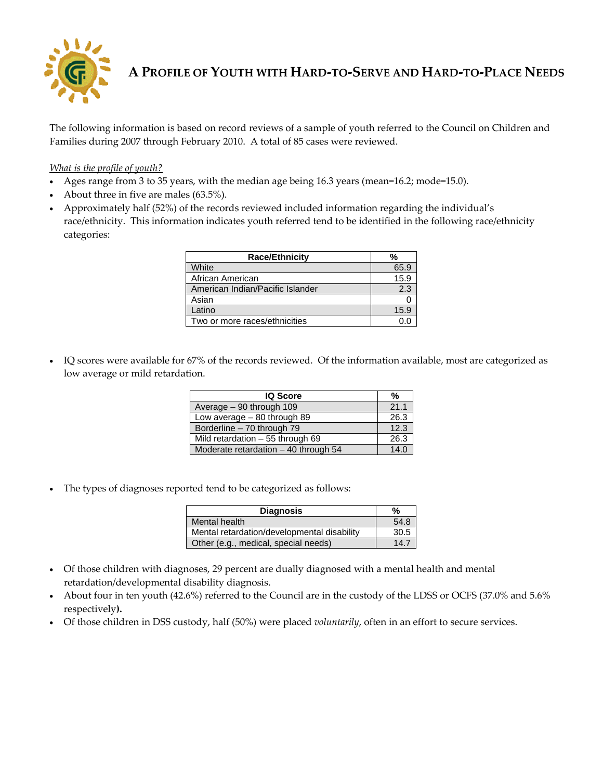

**A PROFILE OF YOUTH WITH HARD‐TO‐SERVE AND HARD‐TO‐PLACE NEEDS**

The following information is based on record reviews of a sample of youth referred to the Council on Children and Families during 2007 through February 2010. A total of 85 cases were reviewed.

*What is the profile of youth?*

- Ages range from 3 to 35 years, with the median age being 16.3 years (mean=16.2; mode=15.0).
- About three in five are males (63.5%).
- Approximately half (52%) of the records reviewed included information regarding the individual's race/ethnicity. This information indicates youth referred tend to be identified in the following race/ethnicity categories:

| <b>Race/Ethnicity</b>            | ℅    |
|----------------------------------|------|
| White                            | 65.9 |
| African American                 | 15.9 |
| American Indian/Pacific Islander | 2.3  |
| Asian                            |      |
| Latino                           | 15.9 |
| Two or more races/ethnicities    |      |

 IQ scores were available for 67% of the records reviewed. Of the information available, most are categorized as low average or mild retardation.

| <b>IQ Score</b>                       | %    |
|---------------------------------------|------|
| Average - 90 through 109              | 21.1 |
| Low average $-80$ through 89          | 26.3 |
| Borderline - 70 through 79            | 12.3 |
| Mild retardation - 55 through 69      | 26.3 |
| Moderate retardation $-40$ through 54 | 14.0 |

The types of diagnoses reported tend to be categorized as follows:

| <b>Diagnosis</b>                            | %    |  |  |
|---------------------------------------------|------|--|--|
| Mental health                               | 54.8 |  |  |
| Mental retardation/developmental disability | 30.5 |  |  |
| Other (e.g., medical, special needs)        | 14.7 |  |  |

- Of those children with diagnoses, 29 percent are dually diagnosed with a mental health and mental retardation/developmental disability diagnosis.
- About four in ten youth (42.6%) referred to the Council are in the custody of the LDSS or OCFS (37.0% and 5.6% respectively**).**
- Of those children in DSS custody, half (50%) were placed *voluntarily*, often in an effort to secure services.